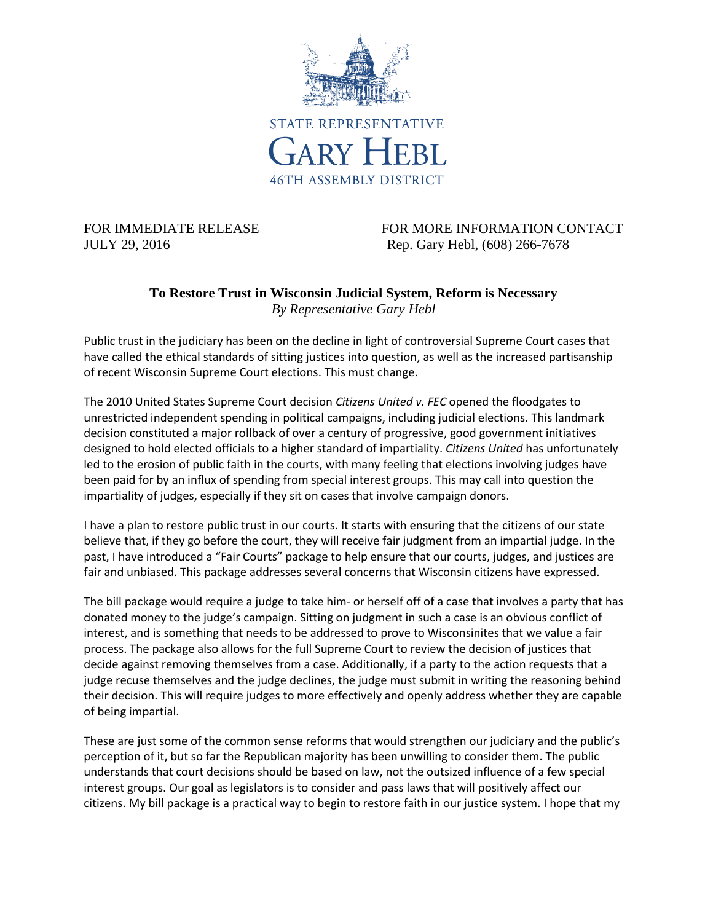

FOR IMMEDIATE RELEASE FOR MORE INFORMATION CONTACT JULY 29, 2016 Rep. Gary Hebl, (608) 266-7678

## **To Restore Trust in Wisconsin Judicial System, Reform is Necessary** *By Representative Gary Hebl*

Public trust in the judiciary has been on the decline in light of controversial Supreme Court cases that have called the ethical standards of sitting justices into question, as well as the increased partisanship of recent Wisconsin Supreme Court elections. This must change.

The 2010 United States Supreme Court decision *Citizens United v. FEC* opened the floodgates to unrestricted independent spending in political campaigns, including judicial elections. This landmark decision constituted a major rollback of over a century of progressive, good government initiatives designed to hold elected officials to a higher standard of impartiality. *Citizens United* has unfortunately led to the erosion of public faith in the courts, with many feeling that elections involving judges have been paid for by an influx of spending from special interest groups. This may call into question the impartiality of judges, especially if they sit on cases that involve campaign donors.

I have a plan to restore public trust in our courts. It starts with ensuring that the citizens of our state believe that, if they go before the court, they will receive fair judgment from an impartial judge. In the past, I have introduced a "Fair Courts" package to help ensure that our courts, judges, and justices are fair and unbiased. This package addresses several concerns that Wisconsin citizens have expressed.

The bill package would require a judge to take him- or herself off of a case that involves a party that has donated money to the judge's campaign. Sitting on judgment in such a case is an obvious conflict of interest, and is something that needs to be addressed to prove to Wisconsinites that we value a fair process. The package also allows for the full Supreme Court to review the decision of justices that decide against removing themselves from a case. Additionally, if a party to the action requests that a judge recuse themselves and the judge declines, the judge must submit in writing the reasoning behind their decision. This will require judges to more effectively and openly address whether they are capable of being impartial.

These are just some of the common sense reforms that would strengthen our judiciary and the public's perception of it, but so far the Republican majority has been unwilling to consider them. The public understands that court decisions should be based on law, not the outsized influence of a few special interest groups. Our goal as legislators is to consider and pass laws that will positively affect our citizens. My bill package is a practical way to begin to restore faith in our justice system. I hope that my